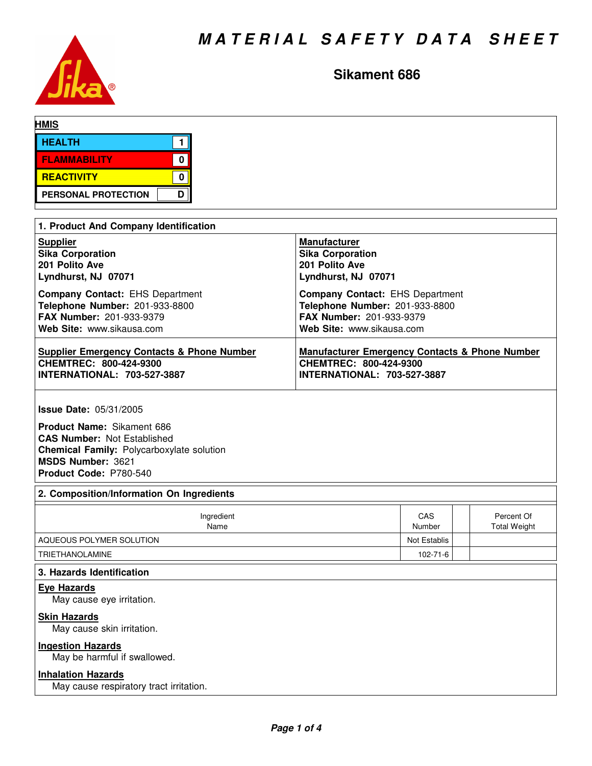

# **Sikament 686**

| <b>HMIS</b>                            |                                        |
|----------------------------------------|----------------------------------------|
| <b>HEALTH</b>                          |                                        |
| <b>FLAMMABILITY</b><br>0               |                                        |
| <b>REACTIVITY</b><br>0                 |                                        |
| D<br><b>PERSONAL PROTECTION</b>        |                                        |
|                                        |                                        |
| 1. Product And Company Identification  |                                        |
| <b>Supplier</b>                        | <b>Manufacturer</b>                    |
| <b>Sika Corporation</b>                | <b>Sika Corporation</b>                |
| 201 Polito Ave                         | 201 Polito Ave                         |
| Lyndhurst, NJ 07071                    | Lyndhurst, NJ 07071                    |
| <b>Company Contact: EHS Department</b> | <b>Company Contact: EHS Department</b> |
| Telephone Number: 201-933-8800         | Telephone Number: 201-933-8800         |
| <b>FAX Number: 201-933-9379</b>        | <b>FAX Number: 201-933-9379</b>        |

| Web Site: www.sikausa.com                  | Web Site: www.sikausa.com                                 |
|--------------------------------------------|-----------------------------------------------------------|
| Supplier Emergency Contacts & Phone Number | <b>Manufacturer Emergency Contacts &amp; Phone Number</b> |
| CHEMTREC: 800-424-9300                     | CHEMTREC: 800-424-9300                                    |
| <b>INTERNATIONAL: 703-527-3887</b>         | <b>INTERNATIONAL: 703-527-3887</b>                        |

**Issue Date:** 05/31/2005

**Product Name:** Sikament 686 **CAS Number:** Not Established **Chemical Family:** Polycarboxylate solution **MSDS Number:** 3621 **Product Code:** P780-540

# **2. Composition/Information On Ingredients**

| Ingredient<br>Name       | CAS<br>Number | Percent Of<br><b>Total Weight</b> |
|--------------------------|---------------|-----------------------------------|
| AQUEOUS POLYMER SOLUTION | Not Establis  |                                   |
| TRIETHANOLAMINE          | 102-71-6      |                                   |

# **3. Hazards Identification**

**Eye Hazards**

May cause eye irritation.

# **Skin Hazards**

May cause skin irritation.

# **Ingestion Hazards**

May be harmful if swallowed.

# **Inhalation Hazards**

May cause respiratory tract irritation.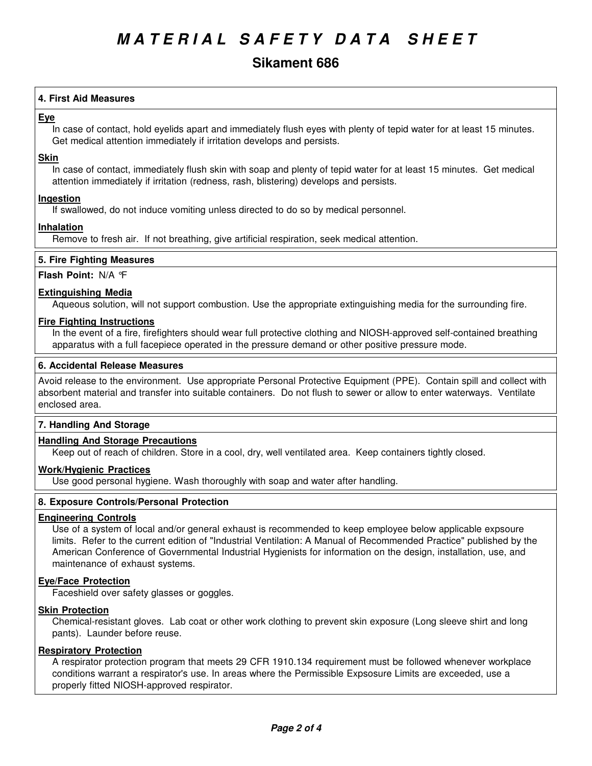# **Sikament 686**

# **4. First Aid Measures**

# **Eye**

In case of contact, hold eyelids apart and immediately flush eyes with plenty of tepid water for at least 15 minutes. Get medical attention immediately if irritation develops and persists.

#### **Skin**

In case of contact, immediately flush skin with soap and plenty of tepid water for at least 15 minutes. Get medical attention immediately if irritation (redness, rash, blistering) develops and persists.

### **Ingestion**

If swallowed, do not induce vomiting unless directed to do so by medical personnel.

### **Inhalation**

Remove to fresh air. If not breathing, give artificial respiration, seek medical attention.

#### **5. Fire Fighting Measures**

#### **Flash Point:** N/A °F

### **Extinguishing Media**

Aqueous solution, will not support combustion. Use the appropriate extinguishing media for the surrounding fire.

#### **Fire Fighting Instructions**

In the event of a fire, firefighters should wear full protective clothing and NIOSH-approved self-contained breathing apparatus with a full facepiece operated in the pressure demand or other positive pressure mode.

#### **6. Accidental Release Measures**

Avoid release to the environment. Use appropriate Personal Protective Equipment (PPE). Contain spill and collect with absorbent material and transfer into suitable containers. Do not flush to sewer or allow to enter waterways. Ventilate enclosed area.

#### **7. Handling And Storage**

### **Handling And Storage Precautions**

Keep out of reach of children. Store in a cool, dry, well ventilated area. Keep containers tightly closed.

#### **Work/Hygienic Practices**

Use good personal hygiene. Wash thoroughly with soap and water after handling.

## **8. Exposure Controls/Personal Protection**

#### **Engineering Controls**

Use of a system of local and/or general exhaust is recommended to keep employee below applicable expsoure limits. Refer to the current edition of "Industrial Ventilation: A Manual of Recommended Practice" published by the American Conference of Governmental Industrial Hygienists for information on the design, installation, use, and maintenance of exhaust systems.

### **Eye/Face Protection**

Faceshield over safety glasses or goggles.

# **Skin Protection**

Chemical-resistant gloves. Lab coat or other work clothing to prevent skin exposure (Long sleeve shirt and long pants). Launder before reuse.

#### **Respiratory Protection**

A respirator protection program that meets 29 CFR 1910.134 requirement must be followed whenever workplace conditions warrant a respirator's use. In areas where the Permissible Expsosure Limits are exceeded, use a properly fitted NIOSH-approved respirator.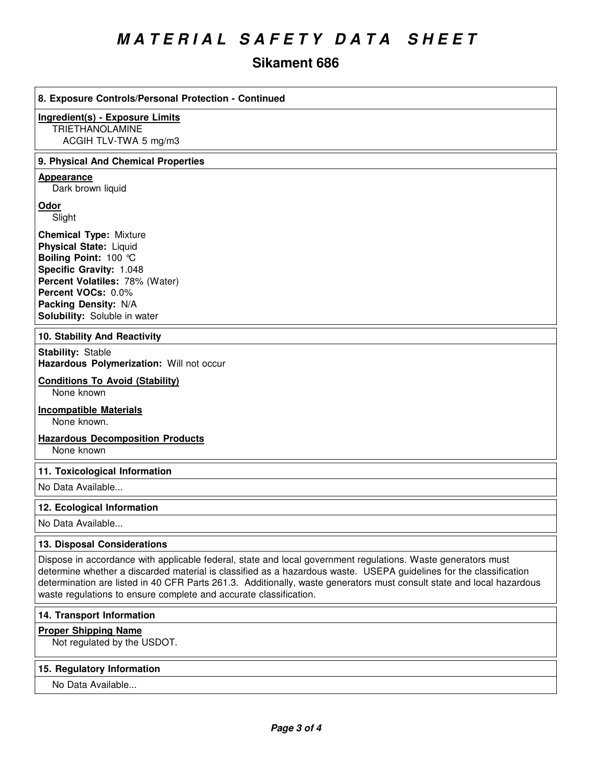# *M A T E R I A L S A F E T Y D A T A S H E E T*

# **Sikament 686**

| 8. Exposure Controls/Personal Protection - Continued                                                                                                                                                                                                                                                                                                                                                                             |
|----------------------------------------------------------------------------------------------------------------------------------------------------------------------------------------------------------------------------------------------------------------------------------------------------------------------------------------------------------------------------------------------------------------------------------|
| <b>Ingredient(s) - Exposure Limits</b><br><b>TRIETHANOLAMINE</b><br>ACGIH TLV-TWA 5 mg/m3                                                                                                                                                                                                                                                                                                                                        |
| 9. Physical And Chemical Properties                                                                                                                                                                                                                                                                                                                                                                                              |
| Appearance<br>Dark brown liquid                                                                                                                                                                                                                                                                                                                                                                                                  |
| Odor<br>Slight                                                                                                                                                                                                                                                                                                                                                                                                                   |
| <b>Chemical Type: Mixture</b><br><b>Physical State: Liquid</b><br>Boiling Point: 100 °C<br>Specific Gravity: 1.048<br>Percent Volatiles: 78% (Water)<br>Percent VOCs: 0.0%<br>Packing Density: N/A<br>Solubility: Soluble in water                                                                                                                                                                                               |
| 10. Stability And Reactivity                                                                                                                                                                                                                                                                                                                                                                                                     |
| <b>Stability: Stable</b><br>Hazardous Polymerization: Will not occur                                                                                                                                                                                                                                                                                                                                                             |
| <b>Conditions To Avoid (Stability)</b><br>None known                                                                                                                                                                                                                                                                                                                                                                             |
| <b>Incompatible Materials</b><br>None known.                                                                                                                                                                                                                                                                                                                                                                                     |
| <b>Hazardous Decomposition Products</b><br>None known                                                                                                                                                                                                                                                                                                                                                                            |
| 11. Toxicological Information                                                                                                                                                                                                                                                                                                                                                                                                    |
| No Data Available                                                                                                                                                                                                                                                                                                                                                                                                                |
| 12. Ecological Information                                                                                                                                                                                                                                                                                                                                                                                                       |
| No Data Available                                                                                                                                                                                                                                                                                                                                                                                                                |
| 13. Disposal Considerations                                                                                                                                                                                                                                                                                                                                                                                                      |
| Dispose in accordance with applicable federal, state and local government regulations. Waste generators must<br>determine whether a discarded material is classified as a hazardous waste. USEPA guidelines for the classification<br>determination are listed in 40 CFR Parts 261.3. Additionally, waste generators must consult state and local hazardous<br>waste regulations to ensure complete and accurate classification. |
| 14. Transport Information                                                                                                                                                                                                                                                                                                                                                                                                        |
| <b>Proper Shipping Name</b><br>Not regulated by the USDOT.                                                                                                                                                                                                                                                                                                                                                                       |
| 15. Regulatory Information                                                                                                                                                                                                                                                                                                                                                                                                       |
| No Data Available                                                                                                                                                                                                                                                                                                                                                                                                                |